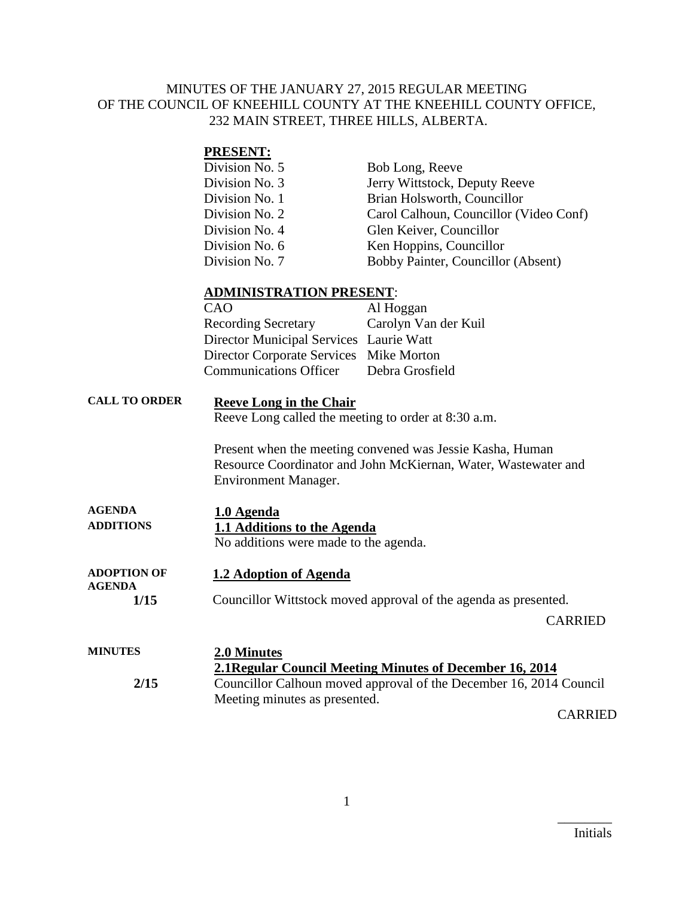#### MINUTES OF THE JANUARY 27, 2015 REGULAR MEETING OF THE COUNCIL OF KNEEHILL COUNTY AT THE KNEEHILL COUNTY OFFICE, 232 MAIN STREET, THREE HILLS, ALBERTA.

#### **PRESENT:** Division No. 5 Bob Long, Reeve Division No. 3 Jerry Wittstock, Deputy Reeve Division No. 1 Brian Holsworth, Councillor Division No. 2 Carol Calhoun, Councillor (Video Conf) Division No. 4 Glen Keiver, Councillor Division No. 6 Ken Hoppins, Councillor Division No. 7 Bobby Painter, Councillor (Absent)

#### **ADMINISTRATION PRESENT**:

| CAO                                     | Al Hoggan            |
|-----------------------------------------|----------------------|
| <b>Recording Secretary</b>              | Carolyn Van der Kuil |
| Director Municipal Services Laurie Watt |                      |
| Director Corporate Services Mike Morton |                      |
| <b>Communications Officer</b>           | Debra Grosfield      |
|                                         |                      |

## **CALL TO ORDER Reeve Long in the Chair**

Reeve Long called the meeting to order at 8:30 a.m.

Present when the meeting convened was Jessie Kasha, Human Resource Coordinator and John McKiernan, Water, Wastewater and Environment Manager.

| <b>AGENDA</b>    | 1.0 Agenda                            |  |
|------------------|---------------------------------------|--|
| <b>ADDITIONS</b> | 1.1 Additions to the Agenda           |  |
|                  | No additions were made to the agenda. |  |

#### **ADOPTION OF AGENDA 1.2 Adoption of Agenda**

**1/15** Councillor Wittstock moved approval of the agenda as presented.

CARRIED

| <b>MINUTES</b> | 2.0 Minutes<br>2.1 Regular Council Meeting Minutes of December 16, 2014 |
|----------------|-------------------------------------------------------------------------|
| 2/15           | Councillor Calhoun moved approval of the December 16, 2014 Council      |
|                | Meeting minutes as presented.                                           |
|                | . . <del>.</del>                                                        |

CARRIED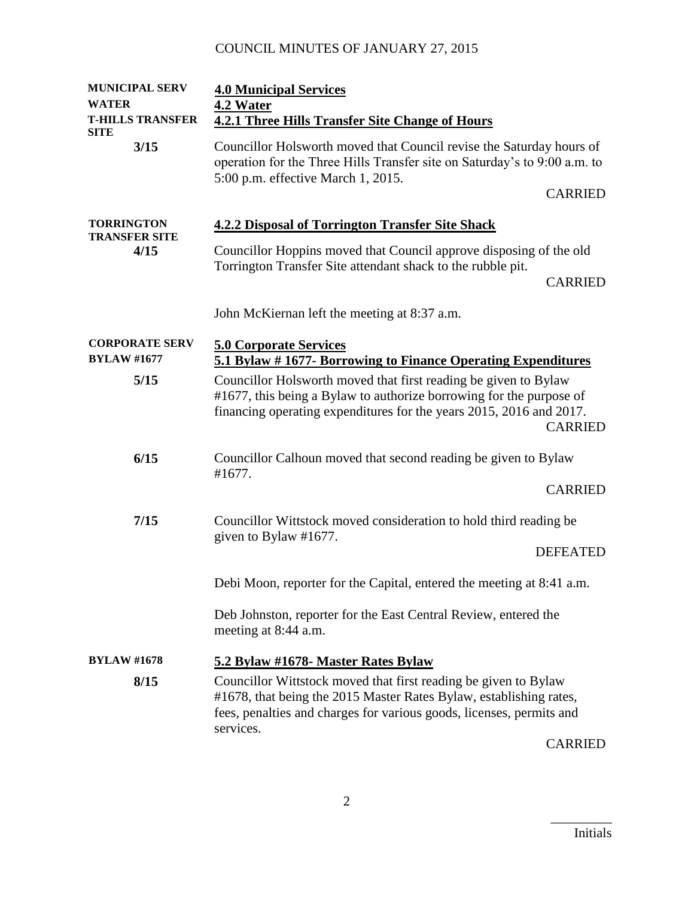| <b>MUNICIPAL SERV</b><br><b>WATER</b><br><b>T-HILLS TRANSFER</b><br><b>SITE</b> | <b>4.0 Municipal Services</b><br>4.2 Water<br><b>4.2.1 Three Hills Transfer Site Change of Hours</b>                                                                                                                            |  |
|---------------------------------------------------------------------------------|---------------------------------------------------------------------------------------------------------------------------------------------------------------------------------------------------------------------------------|--|
| 3/15                                                                            | Councillor Holsworth moved that Council revise the Saturday hours of<br>operation for the Three Hills Transfer site on Saturday's to 9:00 a.m. to<br>5:00 p.m. effective March 1, 2015.                                         |  |
|                                                                                 | <b>CARRIED</b>                                                                                                                                                                                                                  |  |
| <b>TORRINGTON</b><br><b>TRANSFER SITE</b>                                       | <b>4.2.2 Disposal of Torrington Transfer Site Shack</b>                                                                                                                                                                         |  |
| 4/15                                                                            | Councillor Hoppins moved that Council approve disposing of the old                                                                                                                                                              |  |
|                                                                                 | Torrington Transfer Site attendant shack to the rubble pit.<br><b>CARRIED</b>                                                                                                                                                   |  |
|                                                                                 | John McKiernan left the meeting at 8:37 a.m.                                                                                                                                                                                    |  |
| <b>CORPORATE SERV</b><br><b>BYLAW #1677</b>                                     | <b>5.0 Corporate Services</b><br>5.1 Bylaw #1677- Borrowing to Finance Operating Expenditures                                                                                                                                   |  |
| 5/15                                                                            | Councillor Holsworth moved that first reading be given to Bylaw<br>#1677, this being a Bylaw to authorize borrowing for the purpose of<br>financing operating expenditures for the years 2015, 2016 and 2017.<br><b>CARRIED</b> |  |
| 6/15                                                                            | Councillor Calhoun moved that second reading be given to Bylaw<br>#1677.                                                                                                                                                        |  |
|                                                                                 | <b>CARRIED</b>                                                                                                                                                                                                                  |  |
| 7/15                                                                            | Councillor Wittstock moved consideration to hold third reading be                                                                                                                                                               |  |
|                                                                                 | given to Bylaw #1677.<br><b>DEFEATED</b>                                                                                                                                                                                        |  |
|                                                                                 | Debi Moon, reporter for the Capital, entered the meeting at 8:41 a.m.                                                                                                                                                           |  |
|                                                                                 | Deb Johnston, reporter for the East Central Review, entered the<br>meeting at 8:44 a.m.                                                                                                                                         |  |
| <b>BYLAW #1678</b>                                                              | 5.2 Bylaw #1678- Master Rates Bylaw                                                                                                                                                                                             |  |
| 8/15                                                                            | Councillor Wittstock moved that first reading be given to Bylaw<br>#1678, that being the 2015 Master Rates Bylaw, establishing rates,<br>fees, penalties and charges for various goods, licenses, permits and                   |  |
|                                                                                 | services.<br>$\cap$ a didition                                                                                                                                                                                                  |  |

CARRIED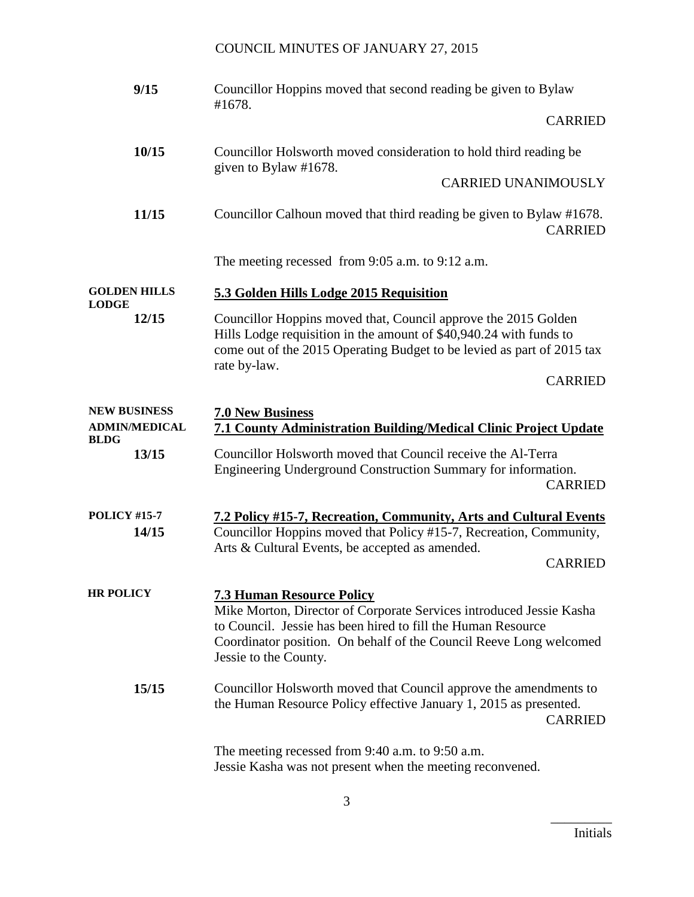| 9/15                                                       | Councillor Hoppins moved that second reading be given to Bylaw<br>#1678.                                                                                                                                                                                               |
|------------------------------------------------------------|------------------------------------------------------------------------------------------------------------------------------------------------------------------------------------------------------------------------------------------------------------------------|
|                                                            | <b>CARRIED</b>                                                                                                                                                                                                                                                         |
| 10/15                                                      | Councillor Holsworth moved consideration to hold third reading be<br>given to Bylaw #1678.                                                                                                                                                                             |
|                                                            | <b>CARRIED UNANIMOUSLY</b>                                                                                                                                                                                                                                             |
| 11/15                                                      | Councillor Calhoun moved that third reading be given to Bylaw #1678.<br><b>CARRIED</b>                                                                                                                                                                                 |
|                                                            | The meeting recessed from 9:05 a.m. to 9:12 a.m.                                                                                                                                                                                                                       |
| <b>GOLDEN HILLS</b><br><b>LODGE</b>                        | 5.3 Golden Hills Lodge 2015 Requisition                                                                                                                                                                                                                                |
| 12/15                                                      | Councillor Hoppins moved that, Council approve the 2015 Golden<br>Hills Lodge requisition in the amount of \$40,940.24 with funds to<br>come out of the 2015 Operating Budget to be levied as part of 2015 tax<br>rate by-law.                                         |
|                                                            | <b>CARRIED</b>                                                                                                                                                                                                                                                         |
| <b>NEW BUSINESS</b><br><b>ADMIN/MEDICAL</b><br><b>BLDG</b> | <b>7.0 New Business</b><br><b>7.1 County Administration Building/Medical Clinic Project Update</b>                                                                                                                                                                     |
| 13/15                                                      | Councillor Holsworth moved that Council receive the Al-Terra<br>Engineering Underground Construction Summary for information.<br><b>CARRIED</b>                                                                                                                        |
| <b>POLICY #15-7</b><br>14/15                               | 7.2 Policy #15-7, Recreation, Community, Arts and Cultural Events<br>Councillor Hoppins moved that Policy #15-7, Recreation, Community,<br>Arts & Cultural Events, be accepted as amended.<br><b>CARRIED</b>                                                           |
| <b>HR POLICY</b>                                           | <b>7.3 Human Resource Policy</b><br>Mike Morton, Director of Corporate Services introduced Jessie Kasha<br>to Council. Jessie has been hired to fill the Human Resource<br>Coordinator position. On behalf of the Council Reeve Long welcomed<br>Jessie to the County. |
| 15/15                                                      | Councillor Holsworth moved that Council approve the amendments to<br>the Human Resource Policy effective January 1, 2015 as presented.<br><b>CARRIED</b>                                                                                                               |
|                                                            | The meeting recessed from 9:40 a.m. to 9:50 a.m.<br>Jessie Kasha was not present when the meeting reconvened.                                                                                                                                                          |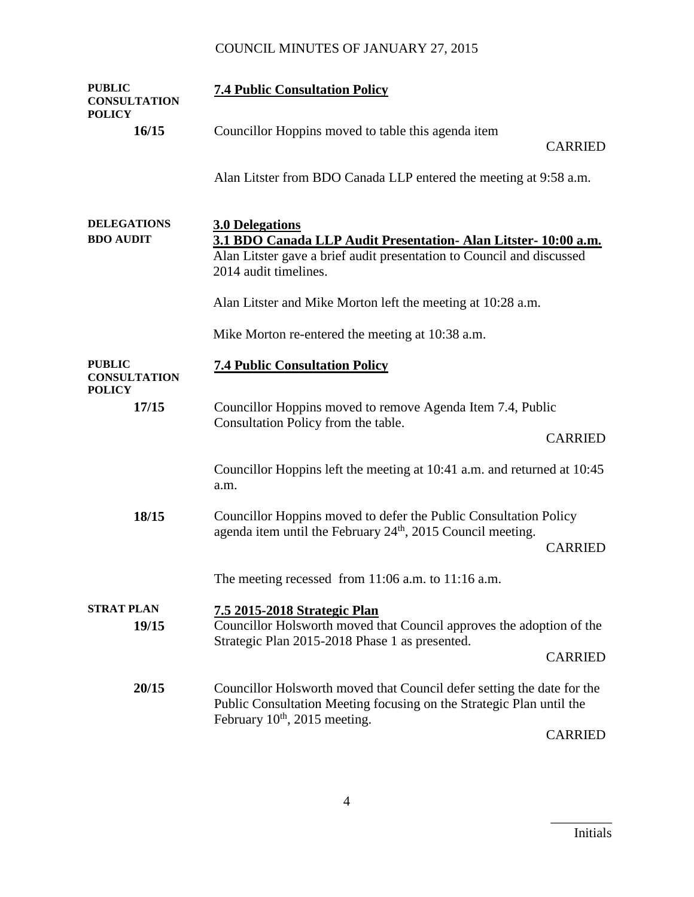| <b>PUBLIC</b><br><b>CONSULTATION</b><br><b>POLICY</b> | <b>7.4 Public Consultation Policy</b>                                                                                                                                                       |                |
|-------------------------------------------------------|---------------------------------------------------------------------------------------------------------------------------------------------------------------------------------------------|----------------|
| 16/15                                                 | Councillor Hoppins moved to table this agenda item                                                                                                                                          | <b>CARRIED</b> |
|                                                       | Alan Litster from BDO Canada LLP entered the meeting at 9:58 a.m.                                                                                                                           |                |
| <b>DELEGATIONS</b><br><b>BDO AUDIT</b>                | <b>3.0 Delegations</b><br>3.1 BDO Canada LLP Audit Presentation- Alan Litster- 10:00 a.m.<br>Alan Litster gave a brief audit presentation to Council and discussed<br>2014 audit timelines. |                |
|                                                       | Alan Litster and Mike Morton left the meeting at 10:28 a.m.                                                                                                                                 |                |
|                                                       | Mike Morton re-entered the meeting at 10:38 a.m.                                                                                                                                            |                |
| <b>PUBLIC</b><br><b>CONSULTATION</b><br><b>POLICY</b> | <b>7.4 Public Consultation Policy</b>                                                                                                                                                       |                |
| 17/15                                                 | Councillor Hoppins moved to remove Agenda Item 7.4, Public<br>Consultation Policy from the table.                                                                                           |                |
|                                                       |                                                                                                                                                                                             | <b>CARRIED</b> |
|                                                       | Councillor Hoppins left the meeting at 10:41 a.m. and returned at 10:45<br>a.m.                                                                                                             |                |
| 18/15                                                 | Councillor Hoppins moved to defer the Public Consultation Policy<br>agenda item until the February 24 <sup>th</sup> , 2015 Council meeting.                                                 | <b>CARRIED</b> |
|                                                       | The meeting recessed from $11:06$ a.m. to $11:16$ a.m.                                                                                                                                      |                |
| <b>STRAT PLAN</b><br>19/15                            | 7.5 2015-2018 Strategic Plan<br>Councillor Holsworth moved that Council approves the adoption of the<br>Strategic Plan 2015-2018 Phase 1 as presented.                                      | <b>CARRIED</b> |
| 20/15                                                 | Councillor Holsworth moved that Council defer setting the date for the<br>Public Consultation Meeting focusing on the Strategic Plan until the<br>February $10^{th}$ , 2015 meeting.        | <b>CARRIED</b> |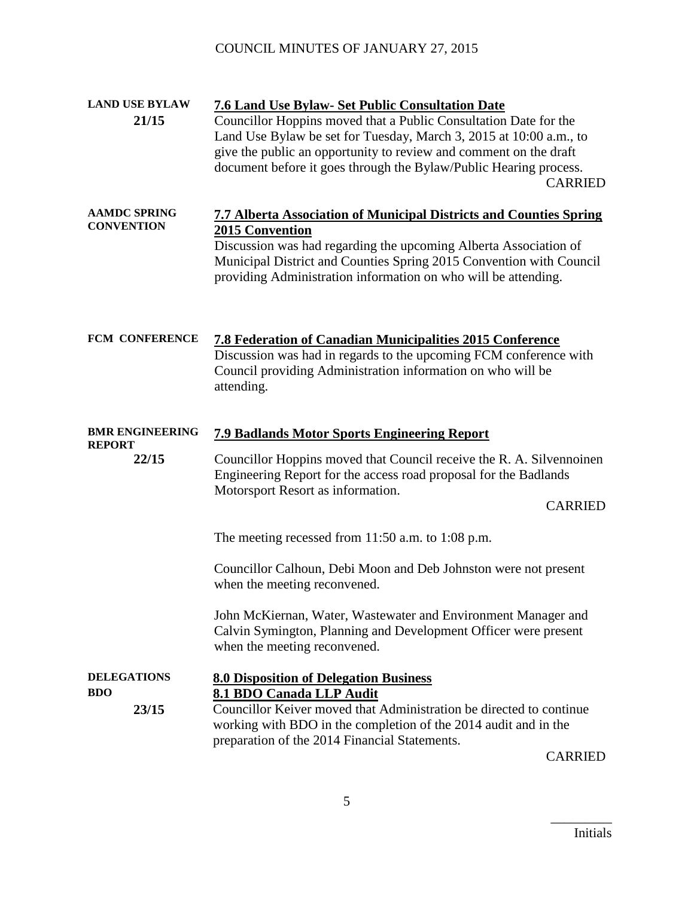| <b>LAND USE BYLAW</b>                    | <b>7.6 Land Use Bylaw- Set Public Consultation Date</b>                                                                                                                                                                                                                                                   |
|------------------------------------------|-----------------------------------------------------------------------------------------------------------------------------------------------------------------------------------------------------------------------------------------------------------------------------------------------------------|
| 21/15                                    | Councillor Hoppins moved that a Public Consultation Date for the<br>Land Use Bylaw be set for Tuesday, March 3, 2015 at 10:00 a.m., to<br>give the public an opportunity to review and comment on the draft<br>document before it goes through the Bylaw/Public Hearing process.<br><b>CARRIED</b>        |
| <b>AAMDC SPRING</b><br><b>CONVENTION</b> | <b>7.7 Alberta Association of Municipal Districts and Counties Spring</b><br>2015 Convention<br>Discussion was had regarding the upcoming Alberta Association of<br>Municipal District and Counties Spring 2015 Convention with Council<br>providing Administration information on who will be attending. |
| FCM CONFERENCE                           | <b>7.8 Federation of Canadian Municipalities 2015 Conference</b><br>Discussion was had in regards to the upcoming FCM conference with<br>Council providing Administration information on who will be<br>attending.                                                                                        |
| <b>BMR ENGINEERING</b>                   | <b>7.9 Badlands Motor Sports Engineering Report</b>                                                                                                                                                                                                                                                       |
| <b>REPORT</b><br>22/15                   | Councillor Hoppins moved that Council receive the R. A. Silvennoinen<br>Engineering Report for the access road proposal for the Badlands<br>Motorsport Resort as information.<br><b>CARRIED</b>                                                                                                           |
|                                          | The meeting recessed from $11:50$ a.m. to $1:08$ p.m.                                                                                                                                                                                                                                                     |
|                                          | Councillor Calhoun, Debi Moon and Deb Johnston were not present<br>when the meeting reconvened.                                                                                                                                                                                                           |
|                                          | John McKiernan, Water, Wastewater and Environment Manager and<br>Calvin Symington, Planning and Development Officer were present<br>when the meeting reconvened.                                                                                                                                          |
| <b>DELEGATIONS</b>                       | <b>8.0 Disposition of Delegation Business</b>                                                                                                                                                                                                                                                             |
| <b>BDO</b><br>23/15                      | 8.1 BDO Canada LLP Audit<br>Councillor Keiver moved that Administration be directed to continue<br>working with BDO in the completion of the 2014 audit and in the<br>preparation of the 2014 Financial Statements.<br><b>CARRIED</b>                                                                     |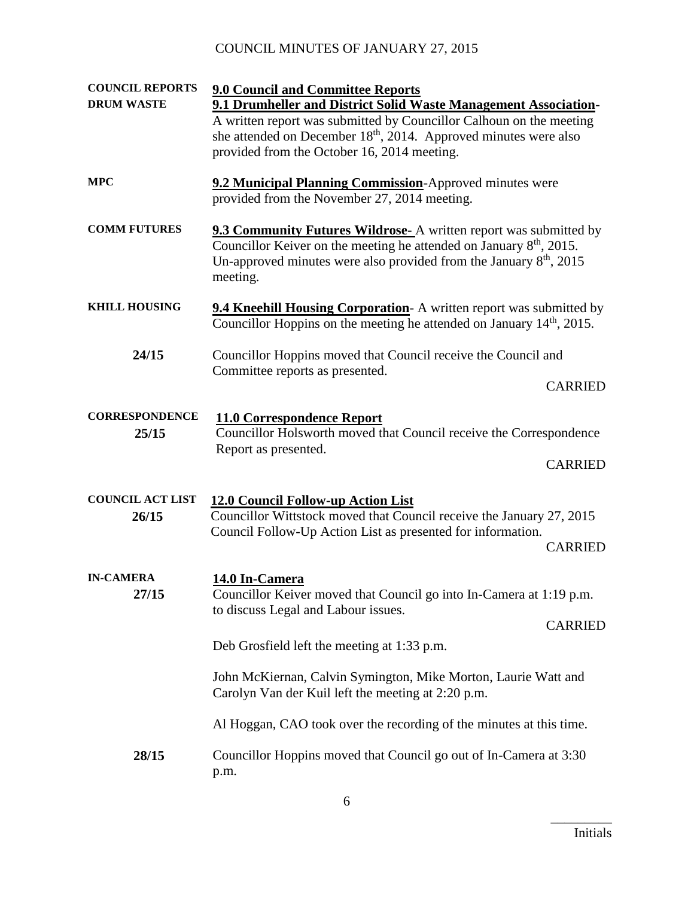| <b>COUNCIL REPORTS</b><br><b>DRUM WASTE</b> | <b>9.0 Council and Committee Reports</b><br>9.1 Drumheller and District Solid Waste Management Association-<br>A written report was submitted by Councillor Calhoun on the meeting<br>she attended on December 18 <sup>th</sup> , 2014. Approved minutes were also<br>provided from the October 16, 2014 meeting. |  |
|---------------------------------------------|-------------------------------------------------------------------------------------------------------------------------------------------------------------------------------------------------------------------------------------------------------------------------------------------------------------------|--|
| <b>MPC</b>                                  | 9.2 Municipal Planning Commission-Approved minutes were<br>provided from the November 27, 2014 meeting.                                                                                                                                                                                                           |  |
| <b>COMM FUTURES</b>                         | <b>9.3 Community Futures Wildrose-</b> A written report was submitted by<br>Councillor Keiver on the meeting he attended on January $8th$ , 2015.<br>Un-approved minutes were also provided from the January $8th$ , 2015<br>meeting.                                                                             |  |
| <b>KHILL HOUSING</b>                        | <b>9.4 Kneehill Housing Corporation</b> A written report was submitted by<br>Councillor Hoppins on the meeting he attended on January $14th$ , 2015.                                                                                                                                                              |  |
| 24/15                                       | Councillor Hoppins moved that Council receive the Council and<br>Committee reports as presented.<br><b>CARRIED</b>                                                                                                                                                                                                |  |
| <b>CORRESPONDENCE</b><br>25/15              | <b>11.0 Correspondence Report</b><br>Councillor Holsworth moved that Council receive the Correspondence<br>Report as presented.<br><b>CARRIED</b>                                                                                                                                                                 |  |
| <b>COUNCIL ACT LIST</b><br>26/15            | 12.0 Council Follow-up Action List<br>Councillor Wittstock moved that Council receive the January 27, 2015<br>Council Follow-Up Action List as presented for information.<br><b>CARRIED</b>                                                                                                                       |  |
| <b>IN-CAMERA</b><br>27/15                   | 14.0 In-Camera<br>Councillor Keiver moved that Council go into In-Camera at 1:19 p.m.<br>to discuss Legal and Labour issues.<br><b>CARRIED</b><br>Deb Grosfield left the meeting at 1:33 p.m.                                                                                                                     |  |
|                                             | John McKiernan, Calvin Symington, Mike Morton, Laurie Watt and<br>Carolyn Van der Kuil left the meeting at 2:20 p.m.                                                                                                                                                                                              |  |
|                                             | Al Hoggan, CAO took over the recording of the minutes at this time.                                                                                                                                                                                                                                               |  |
| 28/15                                       | Councillor Hoppins moved that Council go out of In-Camera at 3:30<br>p.m.                                                                                                                                                                                                                                         |  |